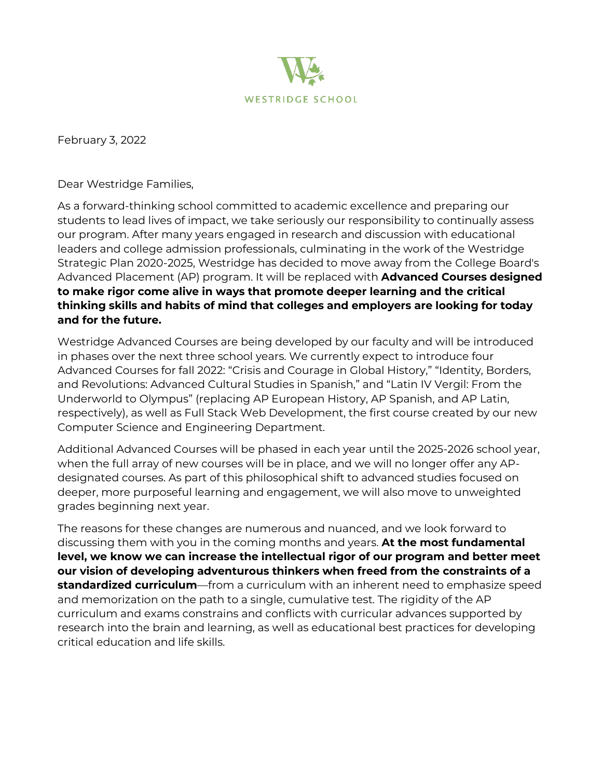

February 3, 2022

Dear Westridge Families,

As a forward-thinking school committed to academic excellence and preparing our students to lead lives of impact, we take seriously our responsibility to continually assess our program. After many years engaged in research and discussion with educational leaders and college admission professionals, culminating in the work of the Westridge Strategic Plan 2020-2025, Westridge has decided to move away from the College Board's Advanced Placement (AP) program. It will be replaced with **Advanced Courses designed to make rigor come alive in ways that promote deeper learning and the critical thinking skills and habits of mind that colleges and employers are looking for today and for the future.**

Westridge Advanced Courses are being developed by our faculty and will be introduced in phases over the next three school years. We currently expect to introduce four Advanced Courses for fall 2022: "Crisis and Courage in Global History," "Identity, Borders, and Revolutions: Advanced Cultural Studies in Spanish," and "Latin IV Vergil: From the Underworld to Olympus" (replacing AP European History, AP Spanish, and AP Latin, respectively), as well as Full Stack Web Development, the first course created by our new Computer Science and Engineering Department.

Additional Advanced Courses will be phased in each year until the 2025-2026 school year, when the full array of new courses will be in place, and we will no longer offer any APdesignated courses. As part of this philosophical shift to advanced studies focused on deeper, more purposeful learning and engagement, we will also move to unweighted grades beginning next year.

The reasons for these changes are numerous and nuanced, and we look forward to discussing them with you in the coming months and years. **At the most fundamental level, we know we can increase the intellectual rigor of our program and better meet our vision of developing adventurous thinkers when freed from the constraints of a standardized curriculum**—from a curriculum with an inherent need to emphasize speed and memorization on the path to a single, cumulative test. The rigidity of the AP curriculum and exams constrains and conflicts with curricular advances supported by research into the brain and learning, as well as educational best practices for developing critical education and life skills.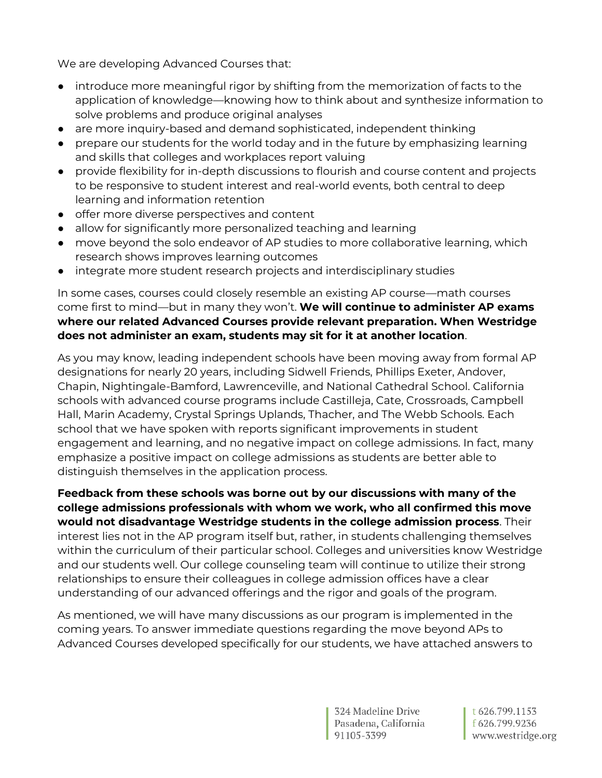We are developing Advanced Courses that:

- introduce more meaningful rigor by shifting from the memorization of facts to the application of knowledge—knowing how to think about and synthesize information to solve problems and produce original analyses
- are more inquiry-based and demand sophisticated, independent thinking
- prepare our students for the world today and in the future by emphasizing learning and skills that colleges and workplaces report valuing
- provide flexibility for in-depth discussions to flourish and course content and projects to be responsive to student interest and real-world events, both central to deep learning and information retention
- offer more diverse perspectives and content
- allow for significantly more personalized teaching and learning
- move beyond the solo endeavor of AP studies to more collaborative learning, which research shows improves learning outcomes
- integrate more student research projects and interdisciplinary studies

In some cases, courses could closely resemble an existing AP course—math courses come first to mind—but in many they won't. **We will continue to administer AP exams where our related Advanced Courses provide relevant preparation. When Westridge does not administer an exam, students may sit for it at another location**.

As you may know, leading independent schools have been moving away from formal AP designations for nearly 20 years, including Sidwell Friends, Phillips Exeter, Andover, Chapin, Nightingale-Bamford, Lawrenceville, and National Cathedral School. California schools with advanced course programs include Castilleja, Cate, Crossroads, Campbell Hall, Marin Academy, Crystal Springs Uplands, Thacher, and The Webb Schools. Each school that we have spoken with reports significant improvements in student engagement and learning, and no negative impact on college admissions. In fact, many emphasize a positive impact on college admissions as students are better able to distinguish themselves in the application process.

**Feedback from these schools was borne out by our discussions with many of the college admissions professionals with whom we work, who all confirmed this move would not disadvantage Westridge students in the college admission process**. Their interest lies not in the AP program itself but, rather, in students challenging themselves within the curriculum of their particular school. Colleges and universities know Westridge and our students well. Our college counseling team will continue to utilize their strong relationships to ensure their colleagues in college admission offices have a clear understanding of our advanced offerings and the rigor and goals of the program.

As mentioned, we will have many discussions as our program is implemented in the coming years. To answer immediate questions regarding the move beyond APs to Advanced Courses developed specifically for our students, we have attached answers to

> 324 Madeline Drive Pasadena, California 91105-3399